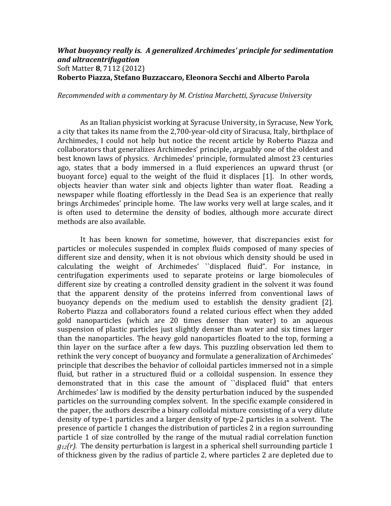## *What buoyancy really is. A generalized Archimedes' principle for sedimentation and ultracentrifugation*  Soft Matter **8**, 7112 (2012) **Roberto Piazza, Stefano Buzzaccaro, Eleonora Secchi and Alberto Parola**

*Recommended with a commentary by M. Cristina Marchetti, Syracuse University*

As an Italian physicist working at Syracuse University, in Syracuse, New York, a city that takes its name from the 2,700-year-old city of Siracusa, Italy, birthplace of Archimedes, I could not help but notice the recent article by Roberto Piazza and collaborators that generalizes Archimedes' principle, arguably one of the oldest and best known laws of physics. Archimedes' principle, formulated almost 23 centuries ago, states that a body immersed in a fluid experiences an upward thrust (or buovant force) equal to the weight of the fluid it displaces [1]. In other words, objects heavier than water sink and objects lighter than water float. Reading a newspaper while floating effortlessly in the Dead Sea is an experience that really brings Archimedes' principle home. The law works very well at large scales, and it is often used to determine the density of bodies, although more accurate direct methods are also available.

It has been known for sometime, however, that discrepancies exist for particles or molecules suspended in complex fluids composed of many species of different size and density, when it is not obvious which density should be used in calculating the weight of Archimedes' "displaced fluid". For instance, in centrifugation experiments used to separate proteins or large biomolecules of different size by creating a controlled density gradient in the solvent it was found that the apparent density of the proteins inferred from conventional laws of buoyancy depends on the medium used to establish the density gradient [2]. Roberto Piazza and collaborators found a related curious effect when they added gold nanoparticles (which are 20 times denser than water) to an aqueous suspension of plastic particles just slightly denser than water and six times larger than the nanoparticles. The heavy gold nanoparticles floated to the top, forming a thin layer on the surface after a few days. This puzzling observation led them to rethink the very concept of buoyancy and formulate a generalization of Archimedes' principle that describes the behavior of colloidal particles immersed not in a simple fluid, but rather in a structured fluid or a colloidal suspension. In essence they demonstrated that in this case the amount of "displaced fluid" that enters Archimedes' law is modified by the density perturbation induced by the suspended particles on the surrounding complex solvent. In the specific example considered in the paper, the authors describe a binary colloidal mixture consisting of a very dilute density of type-1 particles and a larger density of type-2 particles in a solvent. The presence of particle 1 changes the distribution of particles 2 in a region surrounding particle 1 of size controlled by the range of the mutual radial correlation function  $g_{12}(r)$ . The density perturbation is largest in a spherical shell surrounding particle 1 of thickness given by the radius of particle 2, where particles 2 are depleted due to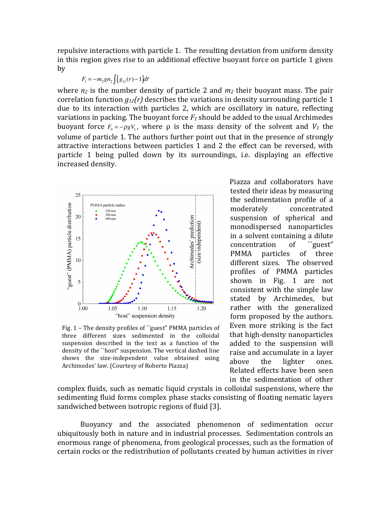repulsive interactions with particle 1. The resulting deviation from uniform density in this region gives rise to an additional effective buoyant force on particle 1 given by 

$$
F_1 = -m_2gn_2 \int [g_{12}(r) - 1] d\vec{r}
$$

where  $n_2$  is the number density of particle 2 and  $m_2$  their buoyant mass. The pair correlation function  $q_{12}(r)$  describes the variations in density surrounding particle 1 due to its interaction with particles 2, which are oscillatory in nature, reflecting variations in packing. The buoyant force  $F_1$  should be added to the usual Archimedes buoyant force  $F_0 = -\rho g V_1$ , where  $\rho$  is the mass density of the solvent and  $V_1$  the volume of particle 1. The authors further point out that in the presence of strongly attractive interactions between particles 1 and 2 the effect can be reversed, with particle 1 being pulled down by its surroundings, i.e. displaying an effective increased density. 



Fig.  $1$  – The density profiles of "guest" PMMA particles of three different sizes sedimented in the colloidal suspension described in the text as a function of the density of the "host" suspension. The vertical dashed line shows the size-independent value obtained using Archimedes' law. (Courtesy of Roberto Piazza)

Piazza and collaborators have tested their ideas by measuring the sedimentation profile of a moderately concentrated suspension of spherical and monodispersed nanoparticles in a solvent containing a dilute concentration of "guest" PMMA particles of three different sizes. The observed profiles of PMMA particles shown in Fig. 1 are not consistent with the simple law stated by Archimedes, but rather with the generalized form proposed by the authors. Even more striking is the fact that high-density nanoparticles added to the suspension will raise and accumulate in a layer above the lighter ones. Related effects have been seen in the sedimentation of other

complex fluids, such as nematic liquid crystals in colloidal suspensions, where the sedimenting fluid forms complex phase stacks consisting of floating nematic layers sandwiched between isotropic regions of fluid [3].

Buoyancy and the associated phenomenon of sedimentation occur ubiquitously both in nature and in industrial processes. Sedimentation controls an enormous range of phenomena, from geological processes, such as the formation of certain rocks or the redistribution of pollutants created by human activities in river